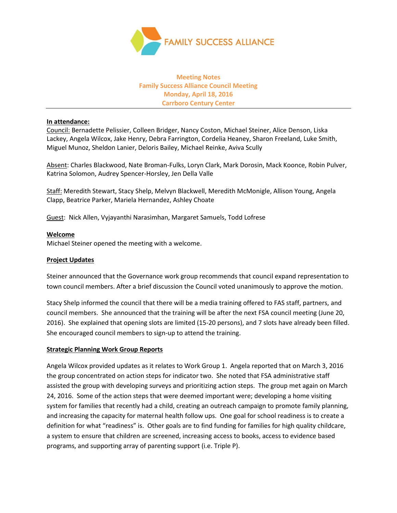

# **Meeting Notes Family Success Alliance Council Meeting Monday, April 18, 2016 Carrboro Century Center**

## **In attendance:**

Council: Bernadette Pelissier, Colleen Bridger, Nancy Coston, Michael Steiner, Alice Denson, Liska Lackey, Angela Wilcox, Jake Henry, Debra Farrington, Cordelia Heaney, Sharon Freeland, Luke Smith, Miguel Munoz, Sheldon Lanier, Deloris Bailey, Michael Reinke, Aviva Scully

Absent: Charles Blackwood, Nate Broman-Fulks, Loryn Clark, Mark Dorosin, Mack Koonce, Robin Pulver, Katrina Solomon, Audrey Spencer-Horsley, Jen Della Valle

Staff: Meredith Stewart, Stacy Shelp, Melvyn Blackwell, Meredith McMonigle, Allison Young, Angela Clapp, Beatrice Parker, Mariela Hernandez, Ashley Choate

Guest: Nick Allen, Vyjayanthi Narasimhan, Margaret Samuels, Todd Lofrese

## **Welcome**

Michael Steiner opened the meeting with a welcome.

### **Project Updates**

Steiner announced that the Governance work group recommends that council expand representation to town council members. After a brief discussion the Council voted unanimously to approve the motion.

Stacy Shelp informed the council that there will be a media training offered to FAS staff, partners, and council members. She announced that the training will be after the next FSA council meeting (June 20, 2016). She explained that opening slots are limited (15-20 persons), and 7 slots have already been filled. She encouraged council members to sign-up to attend the training.

## **Strategic Planning Work Group Reports**

Angela Wilcox provided updates as it relates to Work Group 1. Angela reported that on March 3, 2016 the group concentrated on action steps for indicator two. She noted that FSA administrative staff assisted the group with developing surveys and prioritizing action steps. The group met again on March 24, 2016. Some of the action steps that were deemed important were; developing a home visiting system for families that recently had a child, creating an outreach campaign to promote family planning, and increasing the capacity for maternal health follow ups. One goal for school readiness is to create a definition for what "readiness" is. Other goals are to find funding for families for high quality childcare, a system to ensure that children are screened, increasing access to books, access to evidence based programs, and supporting array of parenting support (i.e. Triple P).